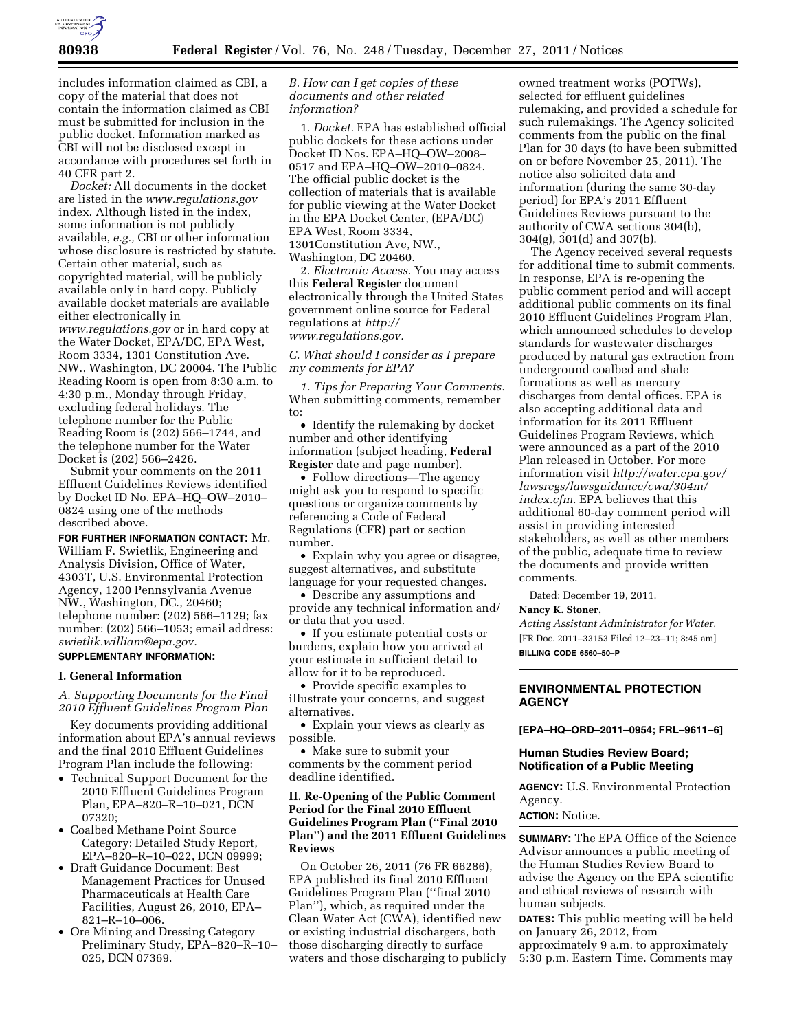

includes information claimed as CBI, a copy of the material that does not contain the information claimed as CBI must be submitted for inclusion in the public docket. Information marked as CBI will not be disclosed except in accordance with procedures set forth in 40 CFR part 2.

*Docket:* All documents in the docket are listed in the *[www.regulations.gov](http://www.regulations.gov)*  index. Although listed in the index, some information is not publicly available, *e.g.,* CBI or other information whose disclosure is restricted by statute. Certain other material, such as copyrighted material, will be publicly available only in hard copy. Publicly available docket materials are available either electronically in *[www.regulations.gov](http://www.regulations.gov)* or in hard copy at the Water Docket, EPA/DC, EPA West, Room 3334, 1301 Constitution Ave. NW., Washington, DC 20004. The Public Reading Room is open from 8:30 a.m. to 4:30 p.m., Monday through Friday, excluding federal holidays. The telephone number for the Public Reading Room is (202) 566–1744, and the telephone number for the Water Docket is (202) 566–2426.

Submit your comments on the 2011 Effluent Guidelines Reviews identified by Docket ID No. EPA–HQ–OW–2010– 0824 using one of the methods described above.

**FOR FURTHER INFORMATION CONTACT:** Mr. William F. Swietlik, Engineering and Analysis Division, Office of Water, 4303T, U.S. Environmental Protection Agency, 1200 Pennsylvania Avenue NW., Washington, DC., 20460; telephone number: (202) 566–1129; fax number: (202) 566–1053; email address: *[swietlik.william@epa.gov.](mailto:swietlik.william@epa.gov)* 

# **SUPPLEMENTARY INFORMATION:**

#### **I. General Information**

*A. Supporting Documents for the Final 2010 Effluent Guidelines Program Plan* 

Key documents providing additional information about EPA's annual reviews and the final 2010 Effluent Guidelines Program Plan include the following:

- Technical Support Document for the 2010 Effluent Guidelines Program Plan, EPA–820–R–10–021, DCN 07320;
- Coalbed Methane Point Source Category: Detailed Study Report, EPA–820–R–10–022, DCN 09999;
- Draft Guidance Document: Best Management Practices for Unused Pharmaceuticals at Health Care Facilities, August 26, 2010, EPA– 821–R–10–006.
- Ore Mining and Dressing Category Preliminary Study, EPA–820–R–10– 025, DCN 07369.

## *B. How can I get copies of these documents and other related information?*

1. *Docket.* EPA has established official public dockets for these actions under Docket ID Nos. EPA–HQ–OW–2008– 0517 and EPA–HQ–OW–2010–0824. The official public docket is the collection of materials that is available for public viewing at the Water Docket in the EPA Docket Center, (EPA/DC) EPA West, Room 3334, 1301Constitution Ave, NW., Washington, DC 20460.

2. *Electronic Access.* You may access this **Federal Register** document electronically through the United States government online source for Federal regulations at *[http://](http://www.regulations.gov)  [www.regulations.gov.](http://www.regulations.gov)* 

## *C. What should I consider as I prepare my comments for EPA?*

*1. Tips for Preparing Your Comments.*  When submitting comments, remember to:

• Identify the rulemaking by docket number and other identifying information (subject heading, **Federal Register** date and page number).

• Follow directions—The agency might ask you to respond to specific questions or organize comments by referencing a Code of Federal Regulations (CFR) part or section number.

• Explain why you agree or disagree, suggest alternatives, and substitute language for your requested changes.

• Describe any assumptions and provide any technical information and/ or data that you used.

• If you estimate potential costs or burdens, explain how you arrived at your estimate in sufficient detail to allow for it to be reproduced.

• Provide specific examples to illustrate your concerns, and suggest alternatives.

• Explain your views as clearly as possible.

• Make sure to submit your comments by the comment period deadline identified.

## **II. Re-Opening of the Public Comment Period for the Final 2010 Effluent Guidelines Program Plan (''Final 2010 Plan'') and the 2011 Effluent Guidelines Reviews**

On October 26, 2011 (76 FR 66286), EPA published its final 2010 Effluent Guidelines Program Plan (''final 2010 Plan''), which, as required under the Clean Water Act (CWA), identified new or existing industrial dischargers, both those discharging directly to surface waters and those discharging to publicly owned treatment works (POTWs), selected for effluent guidelines rulemaking, and provided a schedule for such rulemakings. The Agency solicited comments from the public on the final Plan for 30 days (to have been submitted on or before November 25, 2011). The notice also solicited data and information (during the same 30-day period) for EPA's 2011 Effluent Guidelines Reviews pursuant to the authority of CWA sections 304(b), 304(g), 301(d) and 307(b).

The Agency received several requests for additional time to submit comments. In response, EPA is re-opening the public comment period and will accept additional public comments on its final 2010 Effluent Guidelines Program Plan, which announced schedules to develop standards for wastewater discharges produced by natural gas extraction from underground coalbed and shale formations as well as mercury discharges from dental offices. EPA is also accepting additional data and information for its 2011 Effluent Guidelines Program Reviews, which were announced as a part of the 2010 Plan released in October. For more information visit *[http://water.epa.gov/](http://water.epa.gov/lawsregs/lawsguidance/cwa/304m/index.cfm)  [lawsregs/lawsguidance/cwa/304m/](http://water.epa.gov/lawsregs/lawsguidance/cwa/304m/index.cfm) [index.cfm.](http://water.epa.gov/lawsregs/lawsguidance/cwa/304m/index.cfm)* EPA believes that this additional 60-day comment period will assist in providing interested stakeholders, as well as other members of the public, adequate time to review the documents and provide written comments.

Dated: December 19, 2011.

## **Nancy K. Stoner,**

*Acting Assistant Administrator for Water.*  [FR Doc. 2011–33153 Filed 12–23–11; 8:45 am] **BILLING CODE 6560–50–P** 

## **ENVIRONMENTAL PROTECTION AGENCY**

**[EPA–HQ–ORD–2011–0954; FRL–9611–6]** 

### **Human Studies Review Board; Notification of a Public Meeting**

**AGENCY:** U.S. Environmental Protection Agency.

**ACTION:** Notice.

**SUMMARY:** The EPA Office of the Science Advisor announces a public meeting of the Human Studies Review Board to advise the Agency on the EPA scientific and ethical reviews of research with human subjects.

**DATES:** This public meeting will be held on January 26, 2012, from approximately 9 a.m. to approximately 5:30 p.m. Eastern Time. Comments may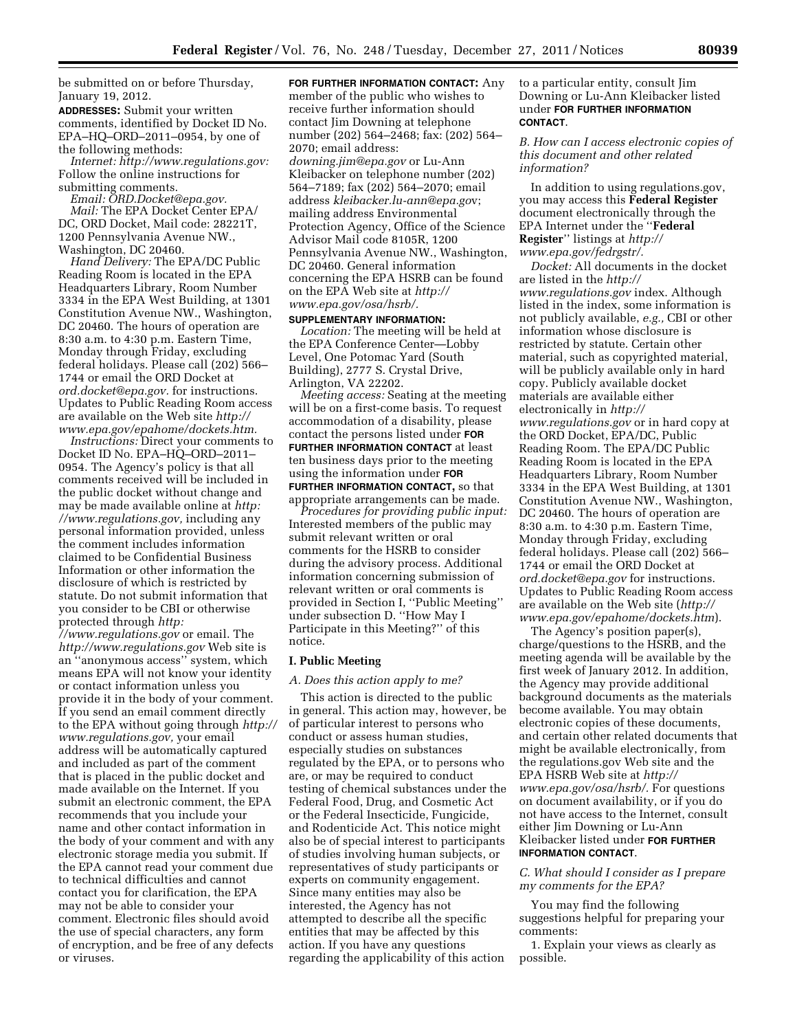be submitted on or before Thursday, January 19, 2012.

**ADDRESSES:** Submit your written comments, identified by Docket ID No. EPA–HQ–ORD–2011–0954, by one of the following methods:

*Internet: [http://www.regulations.gov:](http://www.regulations.gov)*  Follow the online instructions for submitting comments.

*Email: [ORD.Docket@epa.gov.](mailto:ORD.Docket@epa.gov)  Mail:* The EPA Docket Center EPA/ DC, ORD Docket, Mail code: 28221T, 1200 Pennsylvania Avenue NW., Washington, DC 20460.

*Hand Delivery:* The EPA/DC Public Reading Room is located in the EPA Headquarters Library, Room Number 3334 in the EPA West Building, at 1301 Constitution Avenue NW., Washington, DC 20460. The hours of operation are 8:30 a.m. to 4:30 p.m. Eastern Time, Monday through Friday, excluding federal holidays. Please call (202) 566– 1744 or email the ORD Docket at *[ord.docket@epa.gov.](mailto:ord.docket@epa.gov)* for instructions. Updates to Public Reading Room access are available on the Web site *[http://](http://www.epa.gov/epahome/dockets.htm) [www.epa.gov/epahome/dockets.htm.](http://www.epa.gov/epahome/dockets.htm)* 

*Instructions:* Direct your comments to Docket ID No. EPA–HQ–ORD–2011– 0954. The Agency's policy is that all comments received will be included in the public docket without change and may be made available online at *[http:](http://www.regulations.gov)  /[/www.regulations.gov,](http://www.regulations.gov)* including any personal information provided, unless the comment includes information claimed to be Confidential Business Information or other information the disclosure of which is restricted by statute. Do not submit information that you consider to be CBI or otherwise protected through *[http:](http://www.regulations.gov)  /[/www.regulations.gov](http://www.regulations.gov)* or email. The *<http://www.regulations.gov>* Web site is an ''anonymous access'' system, which means EPA will not know your identity or contact information unless you provide it in the body of your comment. If you send an email comment directly to the EPA without going through *[http://](http://www.regulations.gov)  [www.regulations.gov,](http://www.regulations.gov)* your email address will be automatically captured and included as part of the comment that is placed in the public docket and made available on the Internet. If you submit an electronic comment, the EPA recommends that you include your name and other contact information in the body of your comment and with any electronic storage media you submit. If the EPA cannot read your comment due to technical difficulties and cannot contact you for clarification, the EPA may not be able to consider your comment. Electronic files should avoid the use of special characters, any form of encryption, and be free of any defects or viruses.

**FOR FURTHER INFORMATION CONTACT:** Any member of the public who wishes to receive further information should contact Jim Downing at telephone number (202) 564–2468; fax: (202) 564– 2070; email address: *[downing.jim@epa.gov](mailto:downing.jim@epa.gov)* or Lu-Ann Kleibacker on telephone number (202) 564–7189; fax (202) 564–2070; email address *[kleibacker.lu-ann@epa.go](mailto:kleibacker.lu-ann@epa.gov)*v; mailing address Environmental Protection Agency, Office of the Science Advisor Mail code 8105R, 1200 Pennsylvania Avenue NW., Washington, DC 20460. General information concerning the EPA HSRB can be found on the EPA Web site at *[http://](http://www.epa.gov/osa/hsrb/) [www.epa.gov/osa/hsrb/.](http://www.epa.gov/osa/hsrb/)* 

**SUPPLEMENTARY INFORMATION:**  *Location:* The meeting will be held at the EPA Conference Center—Lobby Level, One Potomac Yard (South Building), 2777 S. Crystal Drive, Arlington, VA 22202.

*Meeting access:* Seating at the meeting will be on a first-come basis. To request accommodation of a disability, please contact the persons listed under **FOR FURTHER INFORMATION CONTACT** at least ten business days prior to the meeting using the information under **FOR FURTHER INFORMATION CONTACT,** so that appropriate arrangements can be made.

*Procedures for providing public input:*  Interested members of the public may submit relevant written or oral comments for the HSRB to consider during the advisory process. Additional information concerning submission of relevant written or oral comments is provided in Section I, ''Public Meeting'' under subsection D. ''How May I Participate in this Meeting?'' of this notice.

#### **I. Public Meeting**

#### *A. Does this action apply to me?*

This action is directed to the public in general. This action may, however, be of particular interest to persons who conduct or assess human studies, especially studies on substances regulated by the EPA, or to persons who are, or may be required to conduct testing of chemical substances under the Federal Food, Drug, and Cosmetic Act or the Federal Insecticide, Fungicide, and Rodenticide Act. This notice might also be of special interest to participants of studies involving human subjects, or representatives of study participants or experts on community engagement. Since many entities may also be interested, the Agency has not attempted to describe all the specific entities that may be affected by this action. If you have any questions regarding the applicability of this action

## to a particular entity, consult Jim Downing or Lu-Ann Kleibacker listed under **FOR FURTHER INFORMATION CONTACT**.

### *B. How can I access electronic copies of this document and other related information?*

In addition to using regulations.gov, you may access this **Federal Register**  document electronically through the EPA Internet under the ''**Federal Register**'' listings at *[http://](http://www.epa.gov/fedrgstr/) [www.epa.gov/fedrgstr/.](http://www.epa.gov/fedrgstr/)* 

*Docket:* All documents in the docket are listed in the *[http://](http://www.regulations.gov) [www.regulations.gov](http://www.regulations.gov)* index. Although listed in the index, some information is not publicly available, *e.g.,* CBI or other information whose disclosure is restricted by statute. Certain other material, such as copyrighted material, will be publicly available only in hard copy. Publicly available docket materials are available either electronically in *[http://](http://www.regulations.gov) [www.regulations.gov](http://www.regulations.gov)* or in hard copy at the ORD Docket, EPA/DC, Public Reading Room. The EPA/DC Public Reading Room is located in the EPA Headquarters Library, Room Number 3334 in the EPA West Building, at 1301 Constitution Avenue NW., Washington, DC 20460. The hours of operation are 8:30 a.m. to 4:30 p.m. Eastern Time, Monday through Friday, excluding federal holidays. Please call (202) 566– 1744 or email the ORD Docket at *[ord.docket@epa.gov](mailto:ord.docket@epa.gov)* for instructions. Updates to Public Reading Room access are available on the Web site (*[http://](http://www.epa.gov/epahome/dockets.htm) [www.epa.gov/epahome/dockets.htm](http://www.epa.gov/epahome/dockets.htm)*).

The Agency's position paper(s), charge/questions to the HSRB, and the meeting agenda will be available by the first week of January 2012. In addition, the Agency may provide additional background documents as the materials become available. You may obtain electronic copies of these documents, and certain other related documents that might be available electronically, from the regulations.gov Web site and the EPA HSRB Web site at *[http://](http://www.epa.gov/osa/hsrb/)  [www.epa.gov/osa/hsrb/.](http://www.epa.gov/osa/hsrb/)* For questions on document availability, or if you do not have access to the Internet, consult either Jim Downing or Lu-Ann Kleibacker listed under **FOR FURTHER INFORMATION CONTACT**.

## *C. What should I consider as I prepare my comments for the EPA?*

You may find the following suggestions helpful for preparing your comments:

1. Explain your views as clearly as possible.